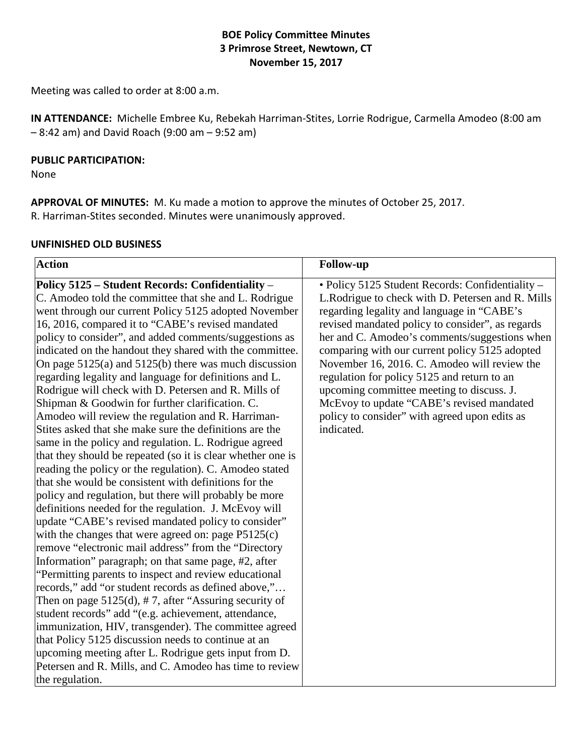## **BOE Policy Committee Minutes 3 Primrose Street, Newtown, CT November 15, 2017**

Meeting was called to order at 8:00 a.m.

**IN ATTENDANCE:** Michelle Embree Ku, Rebekah Harriman-Stites, Lorrie Rodrigue, Carmella Amodeo (8:00 am – 8:42 am) and David Roach (9:00 am – 9:52 am)

#### **PUBLIC PARTICIPATION:**

None

**APPROVAL OF MINUTES:** M. Ku made a motion to approve the minutes of October 25, 2017. R. Harriman-Stites seconded. Minutes were unanimously approved.

#### **UNFINISHED OLD BUSINESS**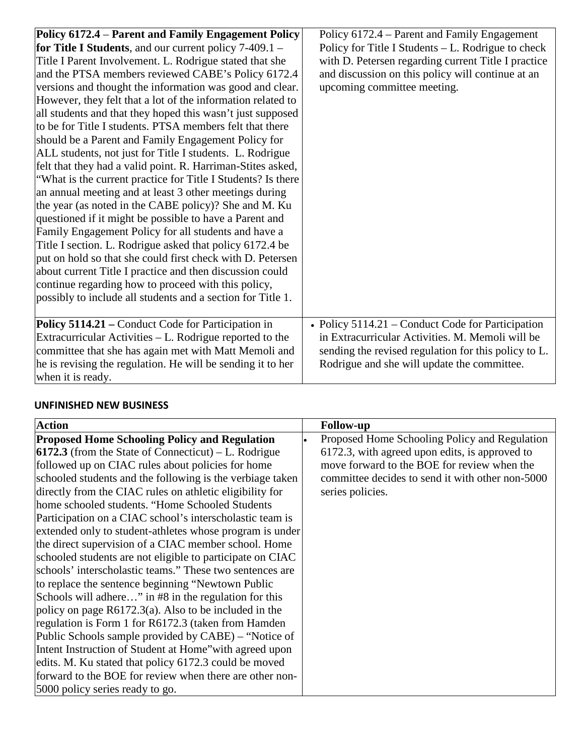| Policy 6172.4 – Parent and Family Engagement Policy          | Policy 6172.4 – Parent and Family Engagement         |
|--------------------------------------------------------------|------------------------------------------------------|
| for Title I Students, and our current policy $7-409.1 -$     | Policy for Title I Students – L. Rodrigue to check   |
| Title I Parent Involvement. L. Rodrigue stated that she      | with D. Petersen regarding current Title I practice  |
| and the PTSA members reviewed CABE's Policy 6172.4           | and discussion on this policy will continue at an    |
| versions and thought the information was good and clear.     | upcoming committee meeting.                          |
| However, they felt that a lot of the information related to  |                                                      |
| all students and that they hoped this wasn't just supposed   |                                                      |
| to be for Title I students. PTSA members felt that there     |                                                      |
| should be a Parent and Family Engagement Policy for          |                                                      |
| ALL students, not just for Title I students. L. Rodrigue     |                                                      |
| felt that they had a valid point. R. Harriman-Stites asked,  |                                                      |
| "What is the current practice for Title I Students? Is there |                                                      |
| an annual meeting and at least 3 other meetings during       |                                                      |
| the year (as noted in the CABE policy)? She and M. Ku        |                                                      |
| questioned if it might be possible to have a Parent and      |                                                      |
| Family Engagement Policy for all students and have a         |                                                      |
| Title I section. L. Rodrigue asked that policy 6172.4 be     |                                                      |
| put on hold so that she could first check with D. Petersen   |                                                      |
| about current Title I practice and then discussion could     |                                                      |
| continue regarding how to proceed with this policy,          |                                                      |
| possibly to include all students and a section for Title 1.  |                                                      |
|                                                              |                                                      |
| Policy 5114.21 – Conduct Code for Participation in           | • Policy $5114.21$ – Conduct Code for Participation  |
| Extracurricular Activities – L. Rodrigue reported to the     | in Extracurricular Activities, M. Memoli will be     |
| committee that she has again met with Matt Memoli and        | sending the revised regulation for this policy to L. |
| he is revising the regulation. He will be sending it to her  | Rodrigue and she will update the committee.          |
| when it is ready.                                            |                                                      |

# **UNFINISHED NEW BUSINESS**

| <b>Action</b>                                               | <b>Follow-up</b>                                 |
|-------------------------------------------------------------|--------------------------------------------------|
| <b>Proposed Home Schooling Policy and Regulation</b>        | Proposed Home Schooling Policy and Regulation    |
| <b>6172.3</b> (from the State of Connecticut) – L. Rodrigue | 6172.3, with agreed upon edits, is approved to   |
| followed up on CIAC rules about policies for home           | move forward to the BOE for review when the      |
| schooled students and the following is the verbiage taken   | committee decides to send it with other non-5000 |
| directly from the CIAC rules on athletic eligibility for    | series policies.                                 |
| home schooled students. "Home Schooled Students"            |                                                  |
| Participation on a CIAC school's interscholastic team is    |                                                  |
| extended only to student-athletes whose program is under    |                                                  |
| the direct supervision of a CIAC member school. Home        |                                                  |
| schooled students are not eligible to participate on CIAC   |                                                  |
| schools' interscholastic teams." These two sentences are    |                                                  |
| to replace the sentence beginning "Newtown Public           |                                                  |
| Schools will adhere" in #8 in the regulation for this       |                                                  |
| policy on page $R6172.3(a)$ . Also to be included in the    |                                                  |
| regulation is Form 1 for R6172.3 (taken from Hamden         |                                                  |
| Public Schools sample provided by CABE) – "Notice of        |                                                  |
| Intent Instruction of Student at Home" with agreed upon     |                                                  |
| edits. M. Ku stated that policy 6172.3 could be moved       |                                                  |
| forward to the BOE for review when there are other non-     |                                                  |
| 5000 policy series ready to go.                             |                                                  |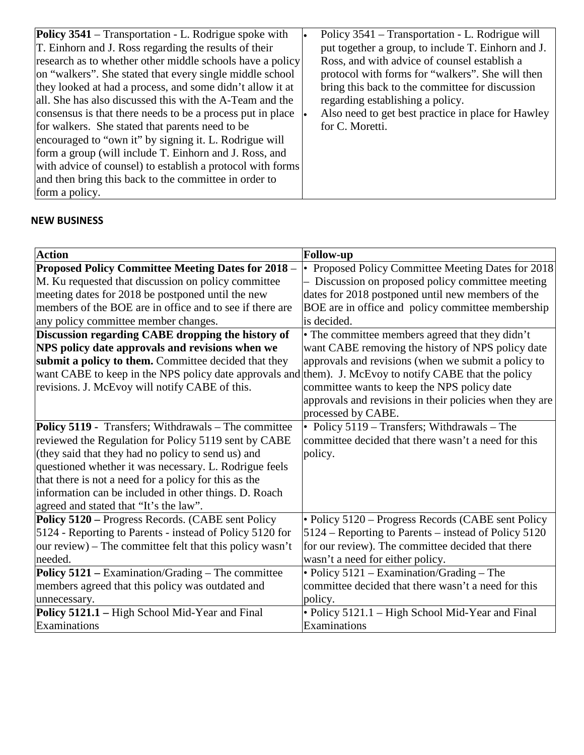| <b>Policy 3541</b> – Transportation - L. Rodrigue spoke with<br>T. Einhorn and J. Ross regarding the results of their<br>research as to whether other middle schools have a policy<br>on "walkers". She stated that every single middle school<br>they looked at had a process, and some didn't allow it at<br>all. She has also discussed this with the A-Team and the<br>consensus is that there needs to be a process put in place<br>for walkers. She stated that parents need to be<br>encouraged to "own it" by signing it. L. Rodrigue will<br>form a group (will include T. Einhorn and J. Ross, and<br>with advice of counsel) to establish a protocol with forms | Policy 3541 – Transportation - L. Rodrigue will<br>put together a group, to include T. Einhorn and J.<br>Ross, and with advice of counsel establish a<br>protocol with forms for "walkers". She will then<br>bring this back to the committee for discussion<br>regarding establishing a policy.<br>Also need to get best practice in place for Hawley<br>for C. Moretti. |
|----------------------------------------------------------------------------------------------------------------------------------------------------------------------------------------------------------------------------------------------------------------------------------------------------------------------------------------------------------------------------------------------------------------------------------------------------------------------------------------------------------------------------------------------------------------------------------------------------------------------------------------------------------------------------|---------------------------------------------------------------------------------------------------------------------------------------------------------------------------------------------------------------------------------------------------------------------------------------------------------------------------------------------------------------------------|
| and then bring this back to the committee in order to<br>form a policy.                                                                                                                                                                                                                                                                                                                                                                                                                                                                                                                                                                                                    |                                                                                                                                                                                                                                                                                                                                                                           |

## **NEW BUSINESS**

| <b>Action</b>                                                                                          | <b>Follow-up</b>                                        |
|--------------------------------------------------------------------------------------------------------|---------------------------------------------------------|
| Proposed Policy Committee Meeting Dates for 2018 -                                                     | • Proposed Policy Committee Meeting Dates for 2018      |
| M. Ku requested that discussion on policy committee                                                    | - Discussion on proposed policy committee meeting       |
| meeting dates for 2018 be postponed until the new                                                      | dates for 2018 postponed until new members of the       |
| members of the BOE are in office and to see if there are                                               | BOE are in office and policy committee membership       |
| any policy committee member changes.                                                                   | is decided.                                             |
| Discussion regarding CABE dropping the history of                                                      | • The committee members agreed that they didn't         |
| NPS policy date approvals and revisions when we                                                        | want CABE removing the history of NPS policy date       |
| submit a policy to them. Committee decided that they                                                   | approvals and revisions (when we submit a policy to     |
| want CABE to keep in the NPS policy date approvals and them). J. McEvoy to notify CABE that the policy |                                                         |
| revisions. J. McEvoy will notify CABE of this.                                                         | committee wants to keep the NPS policy date             |
|                                                                                                        | approvals and revisions in their policies when they are |
|                                                                                                        | processed by CABE.                                      |
| Policy 5119 - Transfers; Withdrawals - The committee                                                   | • Policy 5119 – Transfers; Withdrawals – The            |
| reviewed the Regulation for Policy 5119 sent by CABE                                                   | committee decided that there wasn't a need for this     |
| (they said that they had no policy to send us) and                                                     | policy.                                                 |
| questioned whether it was necessary. L. Rodrigue feels                                                 |                                                         |
| that there is not a need for a policy for this as the                                                  |                                                         |
| information can be included in other things. D. Roach                                                  |                                                         |
| agreed and stated that "It's the law".                                                                 |                                                         |
| Policy 5120 – Progress Records. (CABE sent Policy                                                      | · Policy 5120 - Progress Records (CABE sent Policy      |
| 5124 - Reporting to Parents - instead of Policy 5120 for                                               | 5124 – Reporting to Parents – instead of Policy 5120    |
| our review) – The committee felt that this policy wasn't                                               | for our review). The committee decided that there       |
| needed.                                                                                                | wasn't a need for either policy.                        |
| Policy 5121 – Examination/Grading – The committee                                                      | • Policy 5121 – Examination/Grading – The               |
| members agreed that this policy was outdated and                                                       | committee decided that there wasn't a need for this     |
| unnecessary.                                                                                           | policy.                                                 |
| Policy 5121.1 - High School Mid-Year and Final                                                         | • Policy 5121.1 - High School Mid-Year and Final        |
| Examinations                                                                                           | Examinations                                            |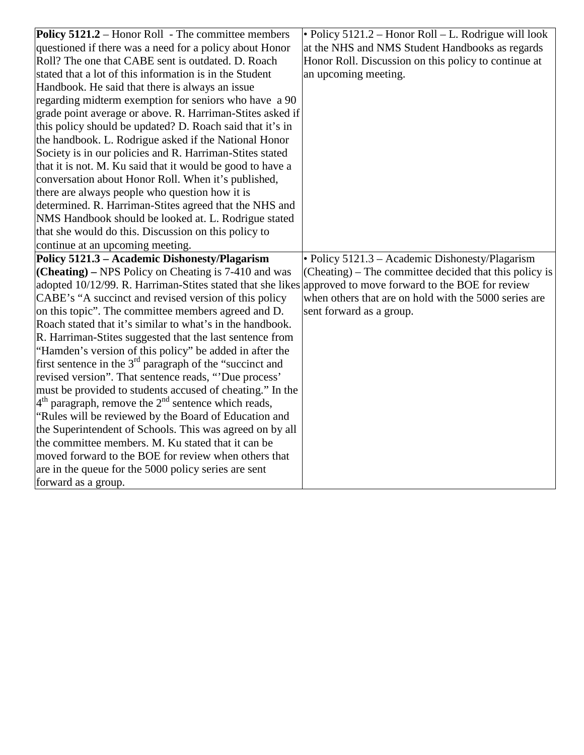| <b>Policy 5121.2</b> – Honor Roll - The committee members                                                 | • Policy $5121.2$ – Honor Roll – L. Rodrigue will look |
|-----------------------------------------------------------------------------------------------------------|--------------------------------------------------------|
| questioned if there was a need for a policy about Honor                                                   | at the NHS and NMS Student Handbooks as regards        |
| Roll? The one that CABE sent is outdated. D. Roach                                                        | Honor Roll. Discussion on this policy to continue at   |
| stated that a lot of this information is in the Student                                                   | an upcoming meeting.                                   |
| Handbook. He said that there is always an issue                                                           |                                                        |
| regarding midterm exemption for seniors who have a 90                                                     |                                                        |
| grade point average or above. R. Harriman-Stites asked if                                                 |                                                        |
| this policy should be updated? D. Roach said that it's in                                                 |                                                        |
| the handbook. L. Rodrigue asked if the National Honor                                                     |                                                        |
| Society is in our policies and R. Harriman-Stites stated                                                  |                                                        |
| that it is not. M. Ku said that it would be good to have a                                                |                                                        |
| conversation about Honor Roll. When it's published,                                                       |                                                        |
| there are always people who question how it is                                                            |                                                        |
| determined. R. Harriman-Stites agreed that the NHS and                                                    |                                                        |
| NMS Handbook should be looked at. L. Rodrigue stated                                                      |                                                        |
| that she would do this. Discussion on this policy to                                                      |                                                        |
| continue at an upcoming meeting.                                                                          |                                                        |
| Policy 5121.3 - Academic Dishonesty/Plagarism                                                             | • Policy 5121.3 – Academic Dishonesty/Plagarism        |
| (Cheating) – NPS Policy on Cheating is 7-410 and was                                                      | (Cheating) – The committee decided that this policy is |
| adopted 10/12/99. R. Harriman-Stites stated that she likes approved to move forward to the BOE for review |                                                        |
| CABE's "A succinct and revised version of this policy                                                     | when others that are on hold with the 5000 series are  |
| on this topic". The committee members agreed and D.                                                       | sent forward as a group.                               |
| Roach stated that it's similar to what's in the handbook.                                                 |                                                        |
| R. Harriman-Stites suggested that the last sentence from                                                  |                                                        |
| "Hamden's version of this policy" be added in after the                                                   |                                                        |
| first sentence in the $3rd$ paragraph of the "succinct and                                                |                                                        |
| revised version". That sentence reads, "Due process'                                                      |                                                        |
| must be provided to students accused of cheating." In the                                                 |                                                        |
| $4th$ paragraph, remove the $2nd$ sentence which reads,                                                   |                                                        |
| "Rules will be reviewed by the Board of Education and                                                     |                                                        |
| the Superintendent of Schools. This was agreed on by all                                                  |                                                        |
| the committee members. M. Ku stated that it can be                                                        |                                                        |
| moved forward to the BOE for review when others that                                                      |                                                        |
| are in the queue for the 5000 policy series are sent                                                      |                                                        |
| forward as a group.                                                                                       |                                                        |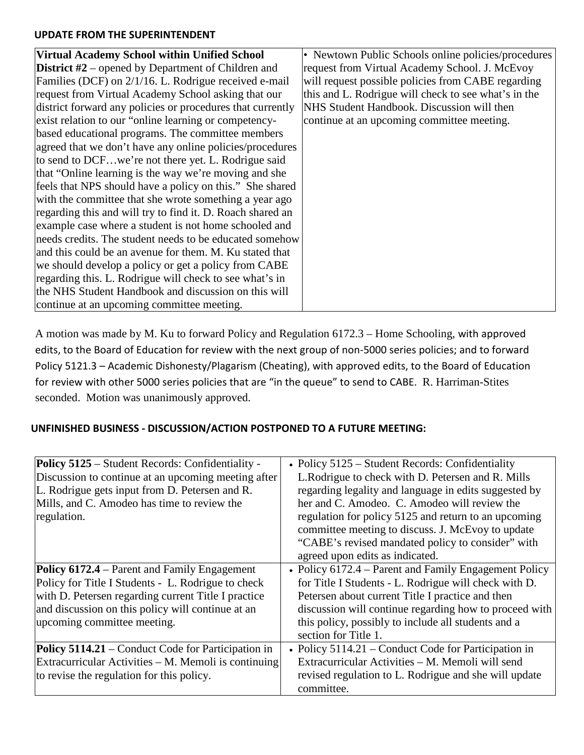#### **UPDATE FROM THE SUPERINTENDENT**

| Virtual Academy School within Unified School                | • Newtown Public Schools online policies/procedures  |
|-------------------------------------------------------------|------------------------------------------------------|
| <b>District</b> $#2$ – opened by Department of Children and | request from Virtual Academy School. J. McEvoy       |
| Families (DCF) on 2/1/16. L. Rodrigue received e-mail       | will request possible policies from CABE regarding   |
| request from Virtual Academy School asking that our         | this and L. Rodrigue will check to see what's in the |
| district forward any policies or procedures that currently  | NHS Student Handbook. Discussion will then           |
| exist relation to our "online learning or competency-       | continue at an upcoming committee meeting.           |
| based educational programs. The committee members           |                                                      |
| agreed that we don't have any online policies/procedures    |                                                      |
| to send to DCFwe're not there yet. L. Rodrigue said         |                                                      |
| that "Online learning is the way we're moving and she       |                                                      |
| feels that NPS should have a policy on this." She shared    |                                                      |
| with the committee that she wrote something a year ago      |                                                      |
| regarding this and will try to find it. D. Roach shared an  |                                                      |
| example case where a student is not home schooled and       |                                                      |
| needs credits. The student needs to be educated somehow     |                                                      |
| and this could be an avenue for them. M. Ku stated that     |                                                      |
| we should develop a policy or get a policy from CABE        |                                                      |
| regarding this. L. Rodrigue will check to see what's in     |                                                      |
| the NHS Student Handbook and discussion on this will        |                                                      |
| continue at an upcoming committee meeting.                  |                                                      |

A motion was made by M. Ku to forward Policy and Regulation 6172.3 – Home Schooling, with approved edits, to the Board of Education for review with the next group of non-5000 series policies; and to forward Policy 5121.3 – Academic Dishonesty/Plagarism (Cheating), with approved edits, to the Board of Education for review with other 5000 series policies that are "in the queue" to send to CABE. R. Harriman-Stites seconded. Motion was unanimously approved.

## **UNFINISHED BUSINESS - DISCUSSION/ACTION POSTPONED TO A FUTURE MEETING:**

| <b>Policy 5125</b> – Student Records: Confidentiality -<br>Discussion to continue at an upcoming meeting after<br>L. Rodrigue gets input from D. Petersen and R.<br>Mills, and C. Amodeo has time to review the<br>regulation.                       | • Policy $5125$ – Student Records: Confidentiality<br>L. Rodrigue to check with D. Petersen and R. Mills<br>regarding legality and language in edits suggested by<br>her and C. Amodeo. C. Amodeo will review the<br>regulation for policy 5125 and return to an upcoming<br>committee meeting to discuss. J. McEvoy to update |
|------------------------------------------------------------------------------------------------------------------------------------------------------------------------------------------------------------------------------------------------------|--------------------------------------------------------------------------------------------------------------------------------------------------------------------------------------------------------------------------------------------------------------------------------------------------------------------------------|
|                                                                                                                                                                                                                                                      | "CABE's revised mandated policy to consider" with<br>agreed upon edits as indicated.                                                                                                                                                                                                                                           |
| <b>Policy 6172.4</b> – Parent and Family Engagement<br>Policy for Title I Students - L. Rodrigue to check<br>with D. Petersen regarding current Title I practice<br>and discussion on this policy will continue at an<br>upcoming committee meeting. | • Policy 6172.4 – Parent and Family Engagement Policy<br>for Title I Students - L. Rodrigue will check with D.<br>Petersen about current Title I practice and then<br>discussion will continue regarding how to proceed with<br>this policy, possibly to include all students and a<br>section for Title 1.                    |
| <b>Policy 5114.21</b> – Conduct Code for Participation in<br>Extracurricular Activities – M. Memoli is continuing<br>to revise the regulation for this policy.                                                                                       | • Policy $5114.21$ – Conduct Code for Participation in<br>Extracurricular Activities - M. Memoli will send<br>revised regulation to L. Rodrigue and she will update<br>committee.                                                                                                                                              |